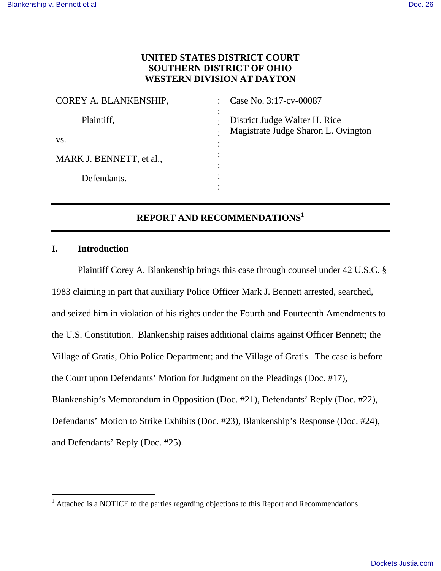# **UNITED STATES DISTRICT COURT SOUTHERN DISTRICT OF OHIO WESTERN DIVISION AT DAYTON**

| Case No. 3:17-cv-00087                                               |
|----------------------------------------------------------------------|
| District Judge Walter H. Rice<br>Magistrate Judge Sharon L. Ovington |
|                                                                      |
|                                                                      |
|                                                                      |
|                                                                      |

# **REPORT AND RECOMMENDATIONS<sup>1</sup>**

## **I. Introduction**

 $\overline{a}$ 

Plaintiff Corey A. Blankenship brings this case through counsel under 42 U.S.C. § 1983 claiming in part that auxiliary Police Officer Mark J. Bennett arrested, searched, and seized him in violation of his rights under the Fourth and Fourteenth Amendments to the U.S. Constitution. Blankenship raises additional claims against Officer Bennett; the Village of Gratis, Ohio Police Department; and the Village of Gratis. The case is before the Court upon Defendants' Motion for Judgment on the Pleadings (Doc. #17), Blankenship's Memorandum in Opposition (Doc. #21), Defendants' Reply (Doc. #22), Defendants' Motion to Strike Exhibits (Doc. #23), Blankenship's Response (Doc. #24), and Defendants' Reply (Doc. #25).

<sup>&</sup>lt;sup>1</sup> Attached is a NOTICE to the parties regarding objections to this Report and Recommendations.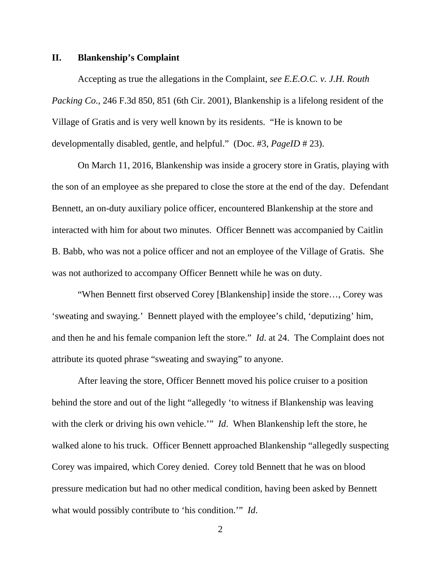#### **II. Blankenship's Complaint**

 Accepting as true the allegations in the Complaint, *see E.E.O.C. v. J.H. Routh Packing Co*., 246 F.3d 850, 851 (6th Cir. 2001), Blankenship is a lifelong resident of the Village of Gratis and is very well known by its residents. "He is known to be developmentally disabled, gentle, and helpful." (Doc. #3, *PageID* # 23).

On March 11, 2016, Blankenship was inside a grocery store in Gratis, playing with the son of an employee as she prepared to close the store at the end of the day. Defendant Bennett, an on-duty auxiliary police officer, encountered Blankenship at the store and interacted with him for about two minutes. Officer Bennett was accompanied by Caitlin B. Babb, who was not a police officer and not an employee of the Village of Gratis. She was not authorized to accompany Officer Bennett while he was on duty.

 "When Bennett first observed Corey [Blankenship] inside the store…, Corey was 'sweating and swaying.' Bennett played with the employee's child, 'deputizing' him, and then he and his female companion left the store." *Id*. at 24. The Complaint does not attribute its quoted phrase "sweating and swaying" to anyone.

 After leaving the store, Officer Bennett moved his police cruiser to a position behind the store and out of the light "allegedly 'to witness if Blankenship was leaving with the clerk or driving his own vehicle.'" *Id*. When Blankenship left the store, he walked alone to his truck. Officer Bennett approached Blankenship "allegedly suspecting Corey was impaired, which Corey denied. Corey told Bennett that he was on blood pressure medication but had no other medical condition, having been asked by Bennett what would possibly contribute to 'his condition.'" *Id*.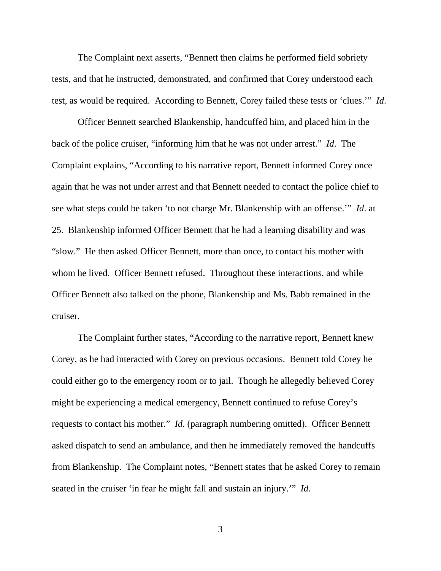The Complaint next asserts, "Bennett then claims he performed field sobriety tests, and that he instructed, demonstrated, and confirmed that Corey understood each test, as would be required. According to Bennett, Corey failed these tests or 'clues.'" *Id*.

 Officer Bennett searched Blankenship, handcuffed him, and placed him in the back of the police cruiser, "informing him that he was not under arrest." *Id*. The Complaint explains, "According to his narrative report, Bennett informed Corey once again that he was not under arrest and that Bennett needed to contact the police chief to see what steps could be taken 'to not charge Mr. Blankenship with an offense.'" *Id*. at 25. Blankenship informed Officer Bennett that he had a learning disability and was "slow." He then asked Officer Bennett, more than once, to contact his mother with whom he lived. Officer Bennett refused. Throughout these interactions, and while Officer Bennett also talked on the phone, Blankenship and Ms. Babb remained in the cruiser.

 The Complaint further states, "According to the narrative report, Bennett knew Corey, as he had interacted with Corey on previous occasions. Bennett told Corey he could either go to the emergency room or to jail. Though he allegedly believed Corey might be experiencing a medical emergency, Bennett continued to refuse Corey's requests to contact his mother." *Id*. (paragraph numbering omitted). Officer Bennett asked dispatch to send an ambulance, and then he immediately removed the handcuffs from Blankenship. The Complaint notes, "Bennett states that he asked Corey to remain seated in the cruiser 'in fear he might fall and sustain an injury.'" *Id*.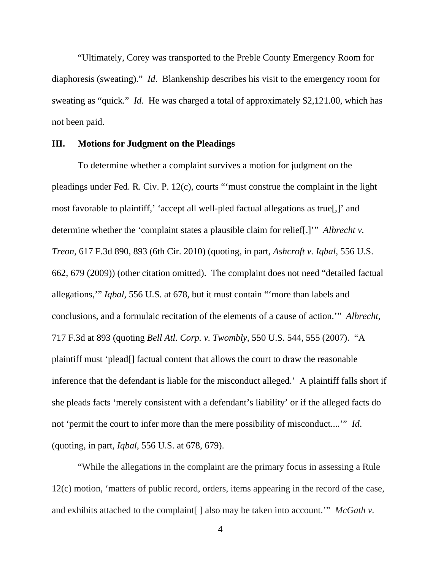"Ultimately, Corey was transported to the Preble County Emergency Room for diaphoresis (sweating)." *Id*. Blankenship describes his visit to the emergency room for sweating as "quick." *Id*. He was charged a total of approximately \$2,121.00, which has not been paid.

## **III. Motions for Judgment on the Pleadings**

To determine whether a complaint survives a motion for judgment on the pleadings under Fed. R. Civ. P. 12(c), courts "'must construe the complaint in the light most favorable to plaintiff,' 'accept all well-pled factual allegations as true[,]' and determine whether the 'complaint states a plausible claim for relief[.]'" *Albrecht v. Treon*, 617 F.3d 890, 893 (6th Cir. 2010) (quoting, in part, *Ashcroft v. Iqbal*, 556 U.S. 662, 679 (2009)) (other citation omitted). The complaint does not need "detailed factual allegations,'" *Iqbal*, 556 U.S. at 678, but it must contain "'more than labels and conclusions, and a formulaic recitation of the elements of a cause of action.'" *Albrecht*, 717 F.3d at 893 (quoting *Bell Atl. Corp. v. Twombly*, 550 U.S. 544, 555 (2007). "A plaintiff must 'plead[] factual content that allows the court to draw the reasonable inference that the defendant is liable for the misconduct alleged.' A plaintiff falls short if she pleads facts 'merely consistent with a defendant's liability' or if the alleged facts do not 'permit the court to infer more than the mere possibility of misconduct....'" *Id*. (quoting, in part, *Iqbal*, 556 U.S. at 678, 679).

 "While the allegations in the complaint are the primary focus in assessing a Rule 12(c) motion, 'matters of public record, orders, items appearing in the record of the case, and exhibits attached to the complaint[ ] also may be taken into account.'" *McGath v.*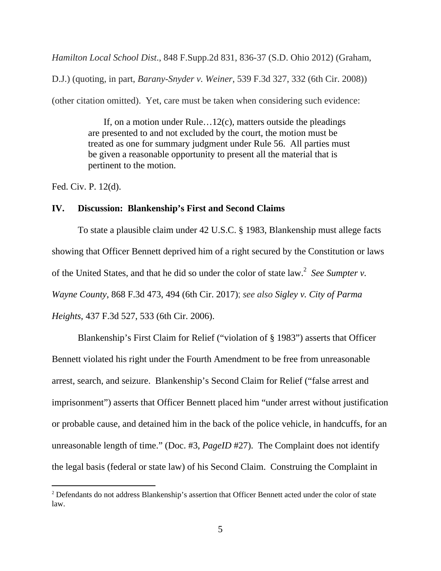*Hamilton Local School Dist*., 848 F.Supp.2d 831, 836-37 (S.D. Ohio 2012) (Graham,

D.J.) (quoting, in part, *Barany-Snyder v. Weiner*, 539 F.3d 327, 332 (6th Cir. 2008))

(other citation omitted). Yet, care must be taken when considering such evidence:

 If, on a motion under Rule…12(c), matters outside the pleadings are presented to and not excluded by the court, the motion must be treated as one for summary judgment under Rule 56. All parties must be given a reasonable opportunity to present all the material that is pertinent to the motion.

Fed. Civ. P. 12(d).

 $\overline{a}$ 

## **IV. Discussion: Blankenship's First and Second Claims**

 To state a plausible claim under 42 U.S.C. § 1983, Blankenship must allege facts showing that Officer Bennett deprived him of a right secured by the Constitution or laws of the United States, and that he did so under the color of state law.<sup>2</sup> See Sumpter v. *Wayne County*, 868 F.3d 473, 494 (6th Cir. 2017); *see also Sigley v. City of Parma Heights*, 437 F.3d 527, 533 (6th Cir. 2006).

 Blankenship's First Claim for Relief ("violation of § 1983") asserts that Officer Bennett violated his right under the Fourth Amendment to be free from unreasonable arrest, search, and seizure. Blankenship's Second Claim for Relief ("false arrest and imprisonment") asserts that Officer Bennett placed him "under arrest without justification or probable cause, and detained him in the back of the police vehicle, in handcuffs, for an unreasonable length of time." (Doc. #3, *PageID* #27). The Complaint does not identify the legal basis (federal or state law) of his Second Claim. Construing the Complaint in

<sup>2</sup> Defendants do not address Blankenship's assertion that Officer Bennett acted under the color of state law.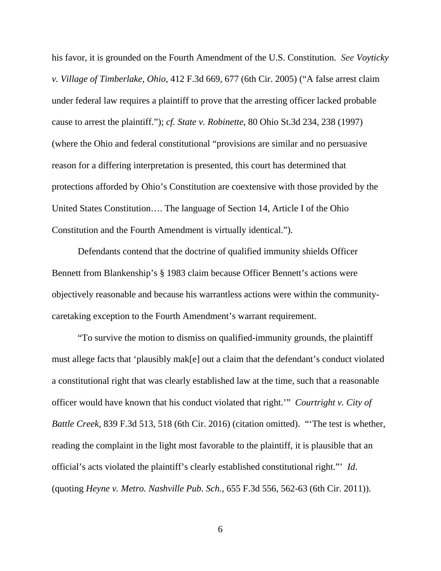his favor, it is grounded on the Fourth Amendment of the U.S. Constitution. *See Voyticky v. Village of Timberlake, Ohio*, 412 F.3d 669, 677 (6th Cir. 2005) ("A false arrest claim under federal law requires a plaintiff to prove that the arresting officer lacked probable cause to arrest the plaintiff."); *cf. State v. Robinette*, 80 Ohio St.3d 234, 238 (1997) (where the Ohio and federal constitutional "provisions are similar and no persuasive reason for a differing interpretation is presented, this court has determined that protections afforded by Ohio's Constitution are coextensive with those provided by the United States Constitution…. The language of Section 14, Article I of the Ohio Constitution and the Fourth Amendment is virtually identical.").

 Defendants contend that the doctrine of qualified immunity shields Officer Bennett from Blankenship's § 1983 claim because Officer Bennett's actions were objectively reasonable and because his warrantless actions were within the communitycaretaking exception to the Fourth Amendment's warrant requirement.

 "To survive the motion to dismiss on qualified-immunity grounds, the plaintiff must allege facts that 'plausibly mak[e] out a claim that the defendant's conduct violated a constitutional right that was clearly established law at the time, such that a reasonable officer would have known that his conduct violated that right.'" *Courtright v. City of Battle Creek*, 839 F.3d 513, 518 (6th Cir. 2016) (citation omitted). "'The test is whether, reading the complaint in the light most favorable to the plaintiff, it is plausible that an official's acts violated the plaintiff's clearly established constitutional right."' *Id*. (quoting *Heyne v. Metro. Nashville Pub. Sch.*, 655 F.3d 556, 562-63 (6th Cir. 2011)).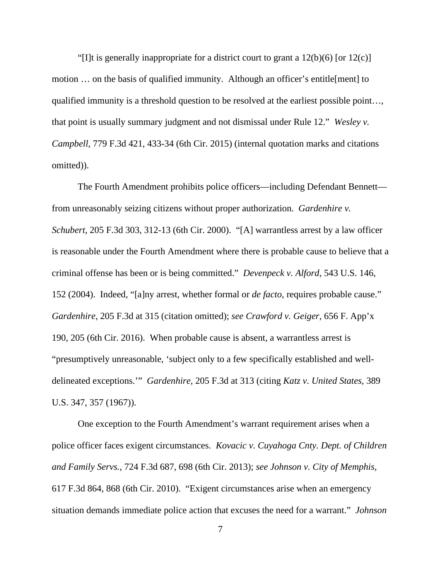"[I]t is generally inappropriate for a district court to grant a  $12(b)(6)$  [or  $12(c)$ ] motion … on the basis of qualified immunity. Although an officer's entitle[ment] to qualified immunity is a threshold question to be resolved at the earliest possible point…, that point is usually summary judgment and not dismissal under Rule 12." *Wesley v. Campbell*, 779 F.3d 421, 433-34 (6th Cir. 2015) (internal quotation marks and citations omitted)).

 The Fourth Amendment prohibits police officers—including Defendant Bennett from unreasonably seizing citizens without proper authorization. *Gardenhire v. Schubert*, 205 F.3d 303, 312-13 (6th Cir. 2000). "[A] warrantless arrest by a law officer is reasonable under the Fourth Amendment where there is probable cause to believe that a criminal offense has been or is being committed." *Devenpeck v. Alford*, 543 U.S. 146, 152 (2004). Indeed, "[a]ny arrest, whether formal or *de facto*, requires probable cause." *Gardenhire*, 205 F.3d at 315 (citation omitted); *see Crawford v. Geiger*, 656 F. App'x 190, 205 (6th Cir. 2016). When probable cause is absent, a warrantless arrest is "presumptively unreasonable, 'subject only to a few specifically established and welldelineated exceptions.'" *Gardenhire*, 205 F.3d at 313 (citing *Katz v. United States*, 389 U.S. 347, 357 (1967)).

 One exception to the Fourth Amendment's warrant requirement arises when a police officer faces exigent circumstances. *Kovacic v. Cuyahoga Cnty. Dept. of Children and Family Servs.*, 724 F.3d 687, 698 (6th Cir. 2013); *see Johnson v. City of Memphis*, 617 F.3d 864, 868 (6th Cir. 2010). "Exigent circumstances arise when an emergency situation demands immediate police action that excuses the need for a warrant." *Johnson*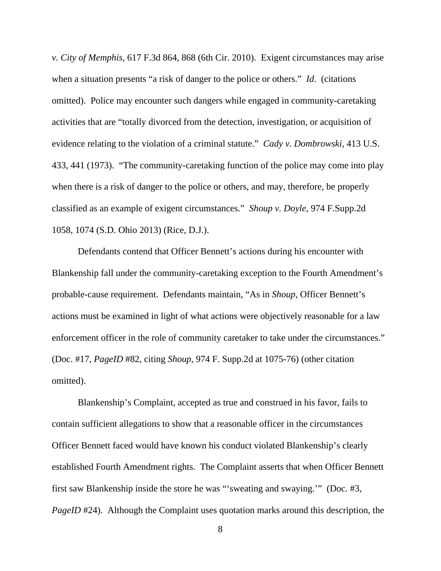*v. City of Memphis*, 617 F.3d 864, 868 (6th Cir. 2010). Exigent circumstances may arise when a situation presents "a risk of danger to the police or others." *Id*. (citations omitted). Police may encounter such dangers while engaged in community-caretaking activities that are "totally divorced from the detection, investigation, or acquisition of evidence relating to the violation of a criminal statute." *Cady v. Dombrowski*, 413 U.S. 433, 441 (1973). "The community-caretaking function of the police may come into play when there is a risk of danger to the police or others, and may, therefore, be properly classified as an example of exigent circumstances." *Shoup v. Doyle*, 974 F.Supp.2d 1058, 1074 (S.D. Ohio 2013) (Rice, D.J.).

 Defendants contend that Officer Bennett's actions during his encounter with Blankenship fall under the community-caretaking exception to the Fourth Amendment's probable-cause requirement. Defendants maintain, "As in *Shoup*, Officer Bennett's actions must be examined in light of what actions were objectively reasonable for a law enforcement officer in the role of community caretaker to take under the circumstances." (Doc. #17, *PageID* #82, citing *Shoup*, 974 F. Supp.2d at 1075-76) (other citation omitted).

 Blankenship's Complaint, accepted as true and construed in his favor, fails to contain sufficient allegations to show that a reasonable officer in the circumstances Officer Bennett faced would have known his conduct violated Blankenship's clearly established Fourth Amendment rights. The Complaint asserts that when Officer Bennett first saw Blankenship inside the store he was "'sweating and swaying.'" (Doc. #3, *PageID* #24). Although the Complaint uses quotation marks around this description, the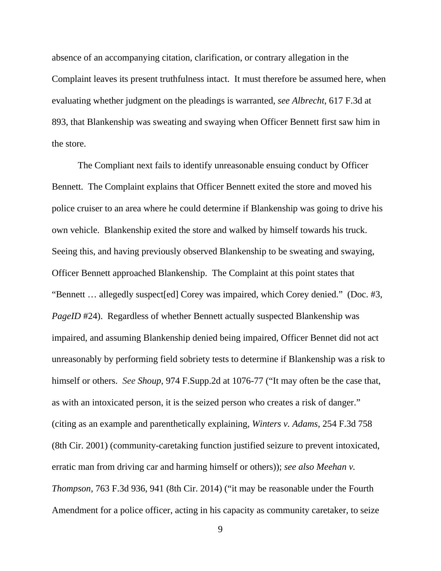absence of an accompanying citation, clarification, or contrary allegation in the Complaint leaves its present truthfulness intact. It must therefore be assumed here, when evaluating whether judgment on the pleadings is warranted, *see Albrecht*, 617 F.3d at 893, that Blankenship was sweating and swaying when Officer Bennett first saw him in the store.

 The Compliant next fails to identify unreasonable ensuing conduct by Officer Bennett. The Complaint explains that Officer Bennett exited the store and moved his police cruiser to an area where he could determine if Blankenship was going to drive his own vehicle. Blankenship exited the store and walked by himself towards his truck. Seeing this, and having previously observed Blankenship to be sweating and swaying, Officer Bennett approached Blankenship. The Complaint at this point states that "Bennett … allegedly suspect[ed] Corey was impaired, which Corey denied." (Doc. #3, *PageID* #24). Regardless of whether Bennett actually suspected Blankenship was impaired, and assuming Blankenship denied being impaired, Officer Bennet did not act unreasonably by performing field sobriety tests to determine if Blankenship was a risk to himself or others. *See Shoup*, 974 F.Supp.2d at 1076-77 ("It may often be the case that, as with an intoxicated person, it is the seized person who creates a risk of danger." (citing as an example and parenthetically explaining, *Winters v. Adams,* 254 F.3d 758 (8th Cir. 2001) (community-caretaking function justified seizure to prevent intoxicated, erratic man from driving car and harming himself or others)); *see also Meehan v. Thompson*, 763 F.3d 936, 941 (8th Cir. 2014) ("it may be reasonable under the Fourth Amendment for a police officer, acting in his capacity as community caretaker, to seize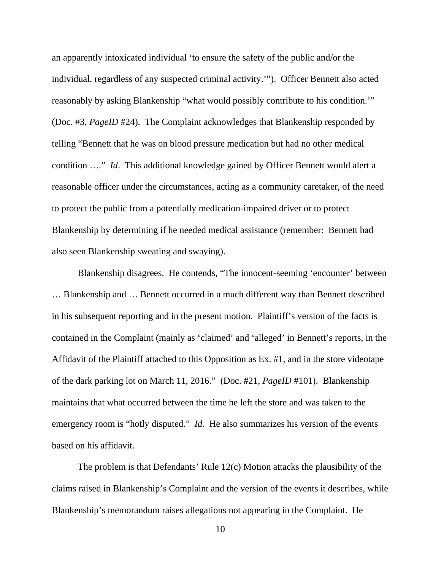an apparently intoxicated individual 'to ensure the safety of the public and/or the individual, regardless of any suspected criminal activity.'"). Officer Bennett also acted reasonably by asking Blankenship "what would possibly contribute to his condition.'" (Doc. #3, *PageID* #24). The Complaint acknowledges that Blankenship responded by telling "Bennett that he was on blood pressure medication but had no other medical condition …." *Id*. This additional knowledge gained by Officer Bennett would alert a reasonable officer under the circumstances, acting as a community caretaker, of the need to protect the public from a potentially medication-impaired driver or to protect Blankenship by determining if he needed medical assistance (remember: Bennett had also seen Blankenship sweating and swaying).

 Blankenship disagrees. He contends, "The innocent-seeming 'encounter' between … Blankenship and … Bennett occurred in a much different way than Bennett described in his subsequent reporting and in the present motion. Plaintiff's version of the facts is contained in the Complaint (mainly as 'claimed' and 'alleged' in Bennett's reports, in the Affidavit of the Plaintiff attached to this Opposition as Ex. #1, and in the store videotape of the dark parking lot on March 11, 2016." (Doc. #21, *PageID* #101). Blankenship maintains that what occurred between the time he left the store and was taken to the emergency room is "hotly disputed." *Id*. He also summarizes his version of the events based on his affidavit.

 The problem is that Defendants' Rule 12(c) Motion attacks the plausibility of the claims raised in Blankenship's Complaint and the version of the events it describes, while Blankenship's memorandum raises allegations not appearing in the Complaint. He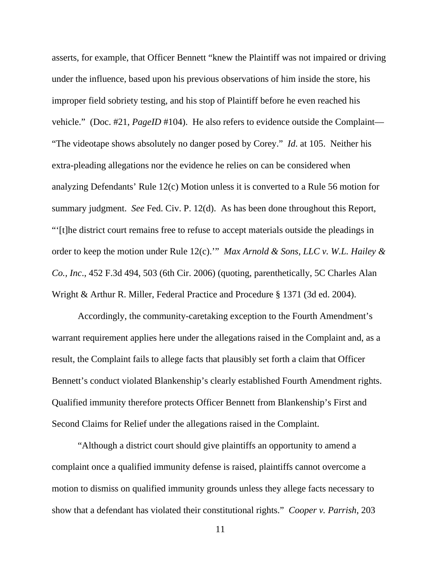asserts, for example, that Officer Bennett "knew the Plaintiff was not impaired or driving under the influence, based upon his previous observations of him inside the store, his improper field sobriety testing, and his stop of Plaintiff before he even reached his vehicle." (Doc. #21, *PageID* #104). He also refers to evidence outside the Complaint— "The videotape shows absolutely no danger posed by Corey." *Id*. at 105. Neither his extra-pleading allegations nor the evidence he relies on can be considered when analyzing Defendants' Rule 12(c) Motion unless it is converted to a Rule 56 motion for summary judgment. *See* Fed. Civ. P. 12(d). As has been done throughout this Report, "'[t]he district court remains free to refuse to accept materials outside the pleadings in order to keep the motion under Rule 12(c).'" *Max Arnold & Sons, LLC v. W.L. Hailey & Co., Inc*., 452 F.3d 494, 503 (6th Cir. 2006) (quoting, parenthetically, 5C Charles Alan Wright & Arthur R. Miller, Federal Practice and Procedure § 1371 (3d ed. 2004).

 Accordingly, the community-caretaking exception to the Fourth Amendment's warrant requirement applies here under the allegations raised in the Complaint and, as a result, the Complaint fails to allege facts that plausibly set forth a claim that Officer Bennett's conduct violated Blankenship's clearly established Fourth Amendment rights. Qualified immunity therefore protects Officer Bennett from Blankenship's First and Second Claims for Relief under the allegations raised in the Complaint.

 "Although a district court should give plaintiffs an opportunity to amend a complaint once a qualified immunity defense is raised, plaintiffs cannot overcome a motion to dismiss on qualified immunity grounds unless they allege facts necessary to show that a defendant has violated their constitutional rights." *Cooper v. Parrish*, 203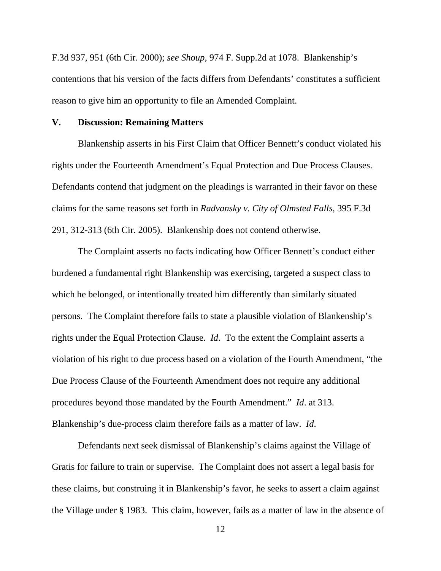F.3d 937, 951 (6th Cir. 2000); *see Shoup*, 974 F. Supp.2d at 1078. Blankenship's contentions that his version of the facts differs from Defendants' constitutes a sufficient reason to give him an opportunity to file an Amended Complaint.

#### **V. Discussion: Remaining Matters**

 Blankenship asserts in his First Claim that Officer Bennett's conduct violated his rights under the Fourteenth Amendment's Equal Protection and Due Process Clauses. Defendants contend that judgment on the pleadings is warranted in their favor on these claims for the same reasons set forth in *Radvansky v. City of Olmsted Falls*, 395 F.3d 291, 312-313 (6th Cir. 2005). Blankenship does not contend otherwise.

 The Complaint asserts no facts indicating how Officer Bennett's conduct either burdened a fundamental right Blankenship was exercising, targeted a suspect class to which he belonged, or intentionally treated him differently than similarly situated persons. The Complaint therefore fails to state a plausible violation of Blankenship's rights under the Equal Protection Clause. *Id*. To the extent the Complaint asserts a violation of his right to due process based on a violation of the Fourth Amendment, "the Due Process Clause of the Fourteenth Amendment does not require any additional procedures beyond those mandated by the Fourth Amendment." *Id*. at 313. Blankenship's due-process claim therefore fails as a matter of law. *Id*.

 Defendants next seek dismissal of Blankenship's claims against the Village of Gratis for failure to train or supervise. The Complaint does not assert a legal basis for these claims, but construing it in Blankenship's favor, he seeks to assert a claim against the Village under § 1983. This claim, however, fails as a matter of law in the absence of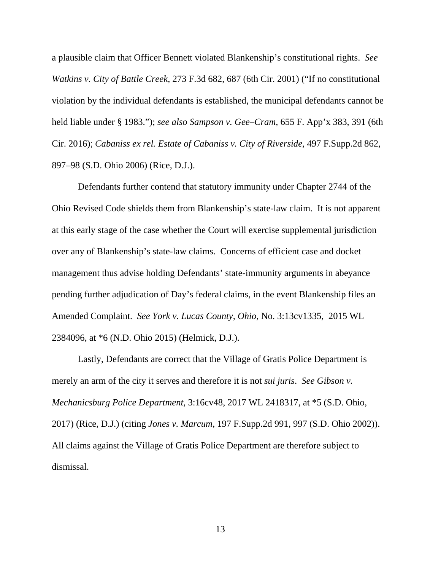a plausible claim that Officer Bennett violated Blankenship's constitutional rights. *See Watkins v. City of Battle Creek*, 273 F.3d 682, 687 (6th Cir. 2001) ("If no constitutional violation by the individual defendants is established, the municipal defendants cannot be held liable under § 1983."); *see also Sampson v. Gee–Cram*, 655 F. App'x 383, 391 (6th Cir. 2016); *Cabaniss ex rel. Estate of Cabaniss v. City of Riverside*, 497 F.Supp.2d 862, 897–98 (S.D. Ohio 2006) (Rice, D.J.).

 Defendants further contend that statutory immunity under Chapter 2744 of the Ohio Revised Code shields them from Blankenship's state-law claim. It is not apparent at this early stage of the case whether the Court will exercise supplemental jurisdiction over any of Blankenship's state-law claims. Concerns of efficient case and docket management thus advise holding Defendants' state-immunity arguments in abeyance pending further adjudication of Day's federal claims, in the event Blankenship files an Amended Complaint. *See York v. Lucas County, Ohio*, No. 3:13cv1335, 2015 WL 2384096, at \*6 (N.D. Ohio 2015) (Helmick, D.J.).

 Lastly, Defendants are correct that the Village of Gratis Police Department is merely an arm of the city it serves and therefore it is not *sui juris*. *See Gibson v. Mechanicsburg Police Department*, 3:16cv48, 2017 WL 2418317, at \*5 (S.D. Ohio, 2017) (Rice, D.J.) (citing *Jones v. Marcum*, 197 F.Supp.2d 991, 997 (S.D. Ohio 2002)). All claims against the Village of Gratis Police Department are therefore subject to dismissal.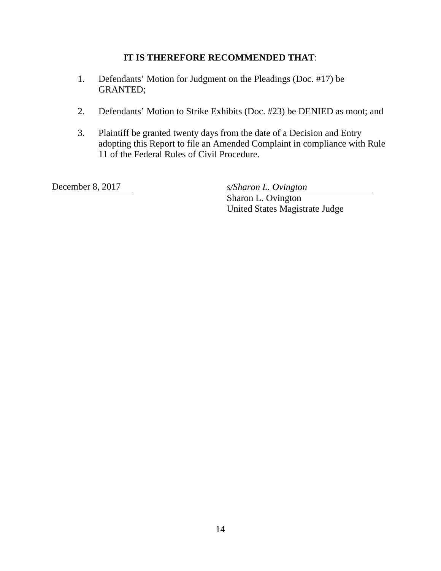# **IT IS THEREFORE RECOMMENDED THAT**:

- 1. Defendants' Motion for Judgment on the Pleadings (Doc. #17) be GRANTED;
- 2. Defendants' Motion to Strike Exhibits (Doc. #23) be DENIED as moot; and
- 3. Plaintiff be granted twenty days from the date of a Decision and Entry adopting this Report to file an Amended Complaint in compliance with Rule 11 of the Federal Rules of Civil Procedure.

December 8, 2017 *s/Sharon L. Ovington* 

Sharon L. Ovington United States Magistrate Judge